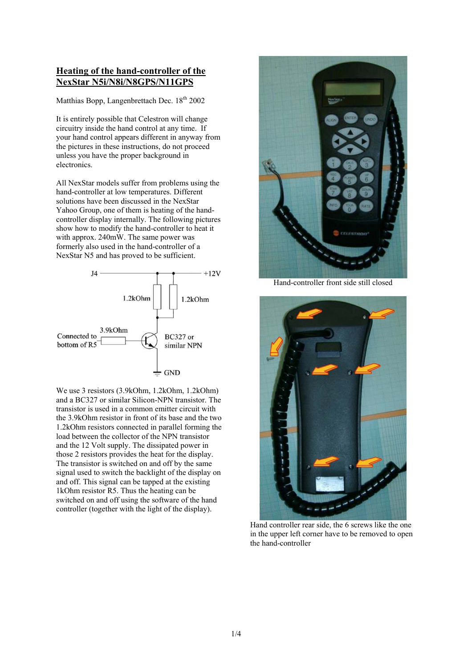## **Heating of the hand-controller of the NexStar N5i/N8i/N8GPS/N11GPS**

Matthias Bopp, Langenbrettach Dec.  $18<sup>th</sup> 2002$ 

It is entirely possible that Celestron will change circuitry inside the hand control at any time. If your hand control appears different in anyway from the pictures in these instructions, do not proceed unless you have the proper background in electronics.

All NexStar models suffer from problems using the hand-controller at low temperatures. Different solutions have been discussed in the NexStar Yahoo Group, one of them is heating of the handcontroller display internally. The following pictures show how to modify the hand-controller to heat it with approx. 240mW. The same power was formerly also used in the hand-controller of a NexStar N5 and has proved to be sufficient.



We use 3 resistors (3.9kOhm, 1.2kOhm, 1.2kOhm) and a BC327 or similar Silicon-NPN transistor. The transistor is used in a common emitter circuit with the 3.9kOhm resistor in front of its base and the two 1.2kOhm resistors connected in parallel forming the load between the collector of the NPN transistor and the 12 Volt supply. The dissipated power in those 2 resistors provides the heat for the display. The transistor is switched on and off by the same signal used to switch the backlight of the display on and off. This signal can be tapped at the existing 1kOhm resistor R5. Thus the heating can be switched on and off using the software of the hand controller (together with the light of the display).



Hand-controller front side still closed



Hand controller rear side, the 6 screws like the one in the upper left corner have to be removed to open the hand-controller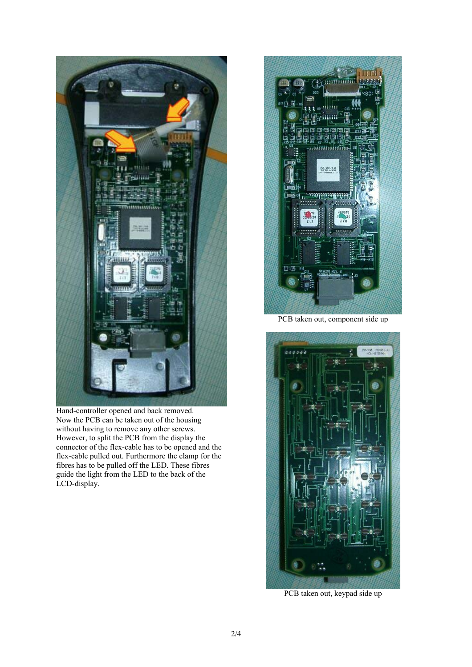

Hand-controller opened and back removed. Now the PCB can be taken out of the housing without having to remove any other screws. However, to split the PCB from the display the connector of the flex-cable has to be opened and the flex-cable pulled out. Furthermore the clamp for the fibres has to be pulled off the LED. These fibres guide the light from the LED to the back of the LCD-display.



PCB taken out, component side up



PCB taken out, keypad side up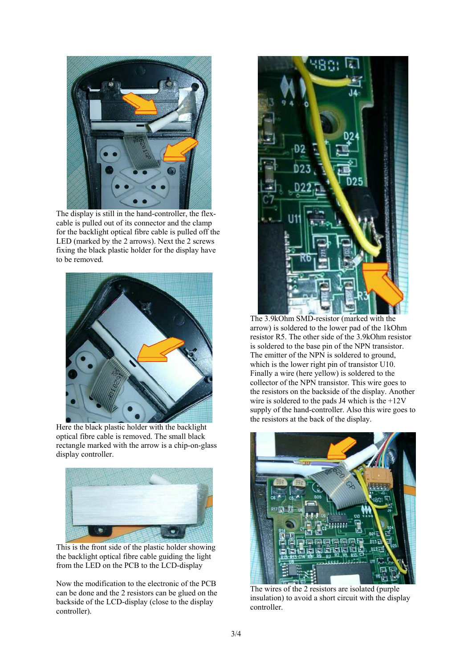

The display is still in the hand-controller, the flexcable is pulled out of its connector and the clamp for the backlight optical fibre cable is pulled off the LED (marked by the 2 arrows). Next the 2 screws fixing the black plastic holder for the display have to be removed.



Here the black plastic holder with the backlight optical fibre cable is removed. The small black rectangle marked with the arrow is a chip-on-glass display controller.



This is the front side of the plastic holder showing the backlight optical fibre cable guiding the light from the LED on the PCB to the LCD-display

Now the modification to the electronic of the PCB can be done and the 2 resistors can be glued on the backside of the LCD-display (close to the display controller).



The 3.9kOhm SMD-resistor (marked with the arrow) is soldered to the lower pad of the 1kOhm resistor R5. The other side of the 3.9kOhm resistor is soldered to the base pin of the NPN transistor. The emitter of the NPN is soldered to ground, which is the lower right pin of transistor U10. Finally a wire (here yellow) is soldered to the collector of the NPN transistor. This wire goes to the resistors on the backside of the display. Another wire is soldered to the pads J4 which is the  $+12V$ supply of the hand-controller. Also this wire goes to the resistors at the back of the display.



The wires of the 2 resistors are isolated (purple insulation) to avoid a short circuit with the display controller.